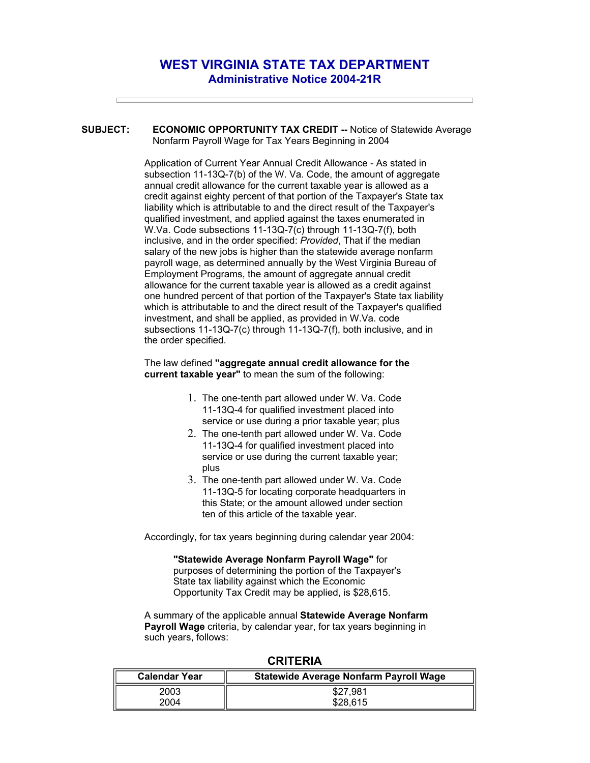## **WEST VIRGINIA STATE TAX DEPARTMENT Administrative Notice 2004-21R**

**SUBJECT: ECONOMIC OPPORTUNITY TAX CREDIT --** Notice of Statewide Average Nonfarm Payroll Wage for Tax Years Beginning in 2004

> Application of Current Year Annual Credit Allowance - As stated in subsection 11-13Q-7(b) of the W. Va. Code, the amount of aggregate annual credit allowance for the current taxable year is allowed as a credit against eighty percent of that portion of the Taxpayer's State tax liability which is attributable to and the direct result of the Taxpayer's qualified investment, and applied against the taxes enumerated in W.Va. Code subsections 11-13Q-7(c) through 11-13Q-7(f), both inclusive, and in the order specified: *Provided*, That if the median salary of the new jobs is higher than the statewide average nonfarm payroll wage, as determined annually by the West Virginia Bureau of Employment Programs, the amount of aggregate annual credit allowance for the current taxable year is allowed as a credit against one hundred percent of that portion of the Taxpayer's State tax liability which is attributable to and the direct result of the Taxpayer's qualified investment, and shall be applied, as provided in W.Va. code subsections 11-13Q-7(c) through 11-13Q-7(f), both inclusive, and in the order specified.

## The law defined **"aggregate annual credit allowance for the current taxable year"** to mean the sum of the following:

- 1. The one-tenth part allowed under W. Va. Code 11-13Q-4 for qualified investment placed into service or use during a prior taxable year; plus
- 2. The one-tenth part allowed under W. Va. Code 11-13Q-4 for qualified investment placed into service or use during the current taxable year; plus
- 3. The one-tenth part allowed under W. Va. Code 11-13Q-5 for locating corporate headquarters in this State; or the amount allowed under section ten of this article of the taxable year.

Accordingly, for tax years beginning during calendar year 2004:

**"Statewide Average Nonfarm Payroll Wage"** for purposes of determining the portion of the Taxpayer's State tax liability against which the Economic Opportunity Tax Credit may be applied, is \$28,615.

A summary of the applicable annual **Statewide Average Nonfarm Payroll Wage** criteria, by calendar year, for tax years beginning in such years, follows:

| <b>Calendar Year</b> | Statewide Average Nonfarm Payroll Wage |
|----------------------|----------------------------------------|
| 2003                 | \$27.981                               |
| 2004                 | \$28,615                               |

## **CRITERIA**